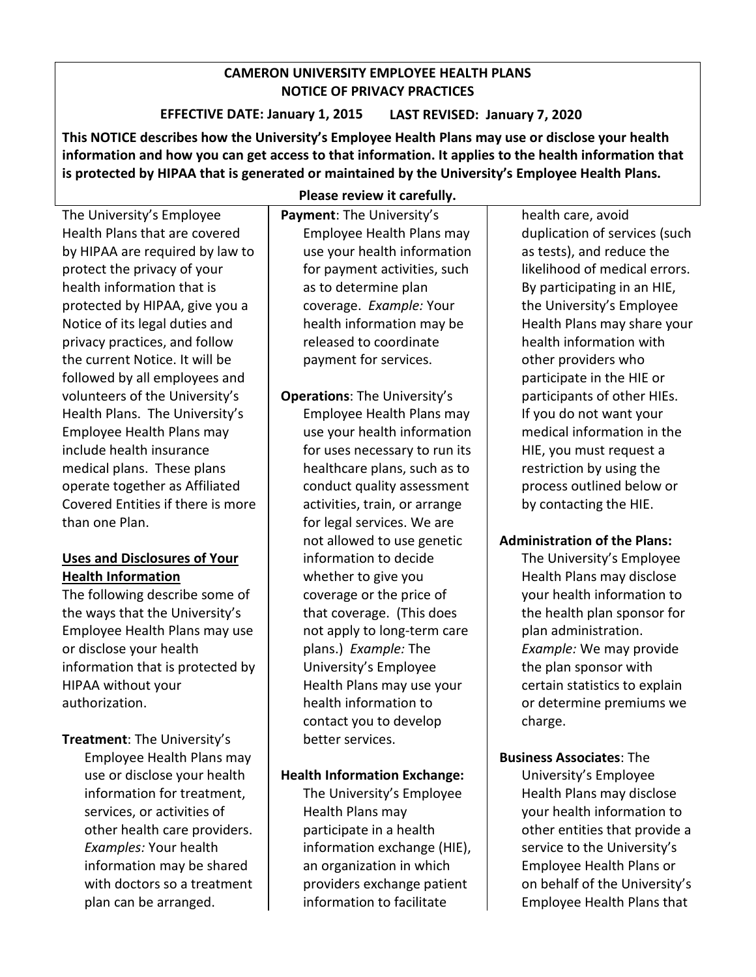# **CAMERON UNIVERSITY EMPLOYEE HEALTH PLANS NOTICE OF PRIVACY PRACTICES**

 **EFFECTIVE DATE: January 1, 2015 LAST REVISED: January 7, 2020**

 **information and how you can get access to that information. It applies to the health information that is protected by HIPAA that is generated or maintained by the University's Employee Health Plans. This NOTICE describes how the University's Employee Health Plans may use or disclose your health** 

 privacy practices, and follow Health Plans. The University's Employee Health Plans may Covered Entities if there is more The University's Employee Health Plans that are covered by HIPAA are required by law to protect the privacy of your health information that is protected by HIPAA, give you a Notice of its legal duties and the current Notice. It will be followed by all employees and volunteers of the University's include health insurance medical plans. These plans operate together as Affiliated than one Plan.

# **Uses and Disclosures of Your Health Information**

The following describe some of the ways that the University's Employee Health Plans may use or disclose your health information that is protected by HIPAA without your authorization.

 Employee Health Plans may **Treatment**: The University's use or disclose your health information for treatment, services, or activities of other health care providers. *Examples:* Your health information may be shared with doctors so a treatment plan can be arranged.

**Please review it carefully.** 

 Employee Health Plans may as to determine plan coverage. *Example:* Your **Payment**: The University's use your health information for payment activities, such health information may be released to coordinate payment for services.

 coverage or the price of plans.) *Example:* The Health Plans may use your better services. **Operations**: The University's Employee Health Plans may use your health information for uses necessary to run its healthcare plans, such as to conduct quality assessment activities, train, or arrange for legal services. We are not allowed to use genetic information to decide whether to give you that coverage. (This does not apply to long-term care University's Employee health information to contact you to develop

# **Health Information Exchange:**

The University's Employee Health Plans may participate in a health information exchange (HIE), an organization in which providers exchange patient information to facilitate

likelihood of medical errors.<br>By participating in an HIE, participants of other HIEs.<br>If you do not want your health care, avoid duplication of services (such as tests), and reduce the the University's Employee Health Plans may share your health information with other providers who participate in the HIE or medical information in the HIE, you must request a restriction by using the process outlined below or by contacting the HIE.

# **Administration of the Plans:**

 plan administration. certain statistics to explain or determine premiums we The University's Employee Health Plans may disclose your health information to the health plan sponsor for *Example:* We may provide the plan sponsor with charge.

 other entities that provide a on behalf of the University's **Business Associates**: The University's Employee Health Plans may disclose your health information to service to the University's Employee Health Plans or Employee Health Plans that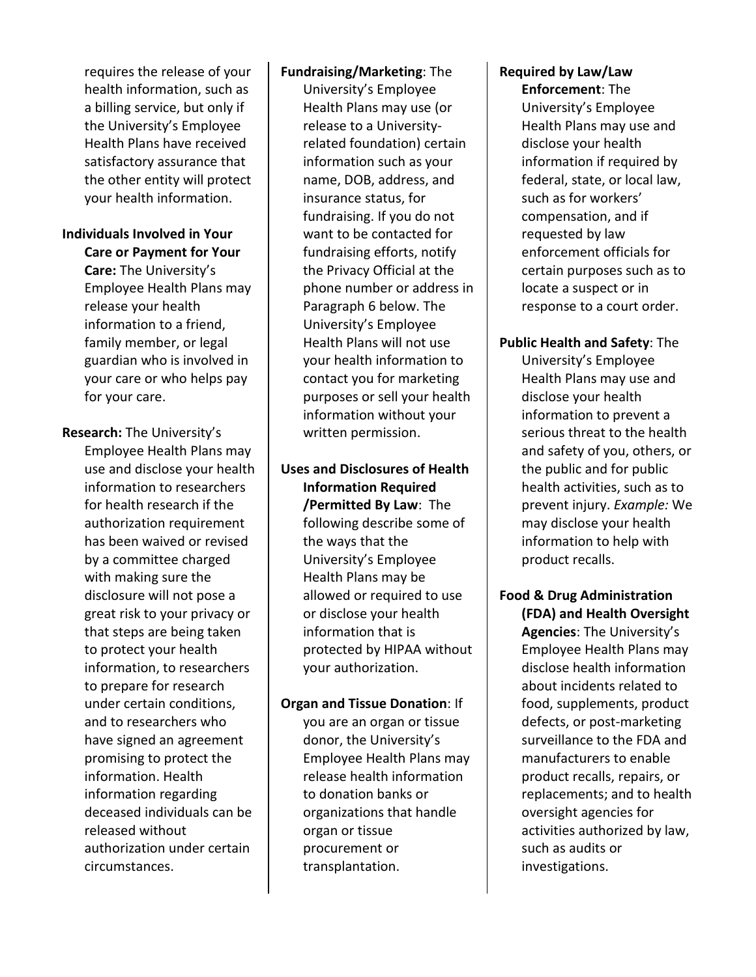a billing service, but only if Health Plans have received requires the release of your health information, such as the University's Employee satisfactory assurance that the other entity will protect your health information.

# **Individuals Involved in Your**

 release your health information to a friend, your care or who helps pay **Care or Payment for Your Care:** The University's Employee Health Plans may family member, or legal guardian who is involved in for your care.

**Research:** The University's

 use and disclose your health for health research if the to prepare for research Employee Health Plans may information to researchers authorization requirement has been waived or revised by a committee charged with making sure the disclosure will not pose a great risk to your privacy or that steps are being taken to protect your health information, to researchers under certain conditions, and to researchers who have signed an agreement promising to protect the information. Health information regarding deceased individuals can be released without authorization under certain circumstances.

#### **Fundraising/Marketing**: The

 name, DOB, address, and University's Employee Health Plans may use (or release to a Universityrelated foundation) certain information such as your insurance status, for fundraising. If you do not want to be contacted for fundraising efforts, notify the Privacy Official at the phone number or address in Paragraph 6 below. The University's Employee Health Plans will not use your health information to contact you for marketing purposes or sell your health information without your written permission.

 allowed or required to use **Uses and Disclosures of Health Information Required /Permitted By Law**: The following describe some of the ways that the University's Employee Health Plans may be or disclose your health information that is protected by HIPAA without your authorization.

#### **Organ and Tissue Donation**: If

 to donation banks or you are an organ or tissue donor, the University's Employee Health Plans may release health information organizations that handle organ or tissue procurement or transplantation.

### **Required by Law/Law Enforcement**: The

 such as for workers' University's Employee Health Plans may use and disclose your health information if required by federal, state, or local law, compensation, and if requested by law enforcement officials for certain purposes such as to locate a suspect or in response to a court order.

## **Public Health and Safety**: The

 information to prevent a serious threat to the health prevent injury. *Example:* We University's Employee Health Plans may use and disclose your health and safety of you, others, or the public and for public health activities, such as to may disclose your health information to help with product recalls.

**Food & Drug Administration (FDA) and Health Oversight Agencies**: The University's Employee Health Plans may disclose health information about incidents related to food, supplements, product defects, or post-marketing surveillance to the FDA and manufacturers to enable product recalls, repairs, or replacements; and to health oversight agencies for activities authorized by law, such as audits or investigations.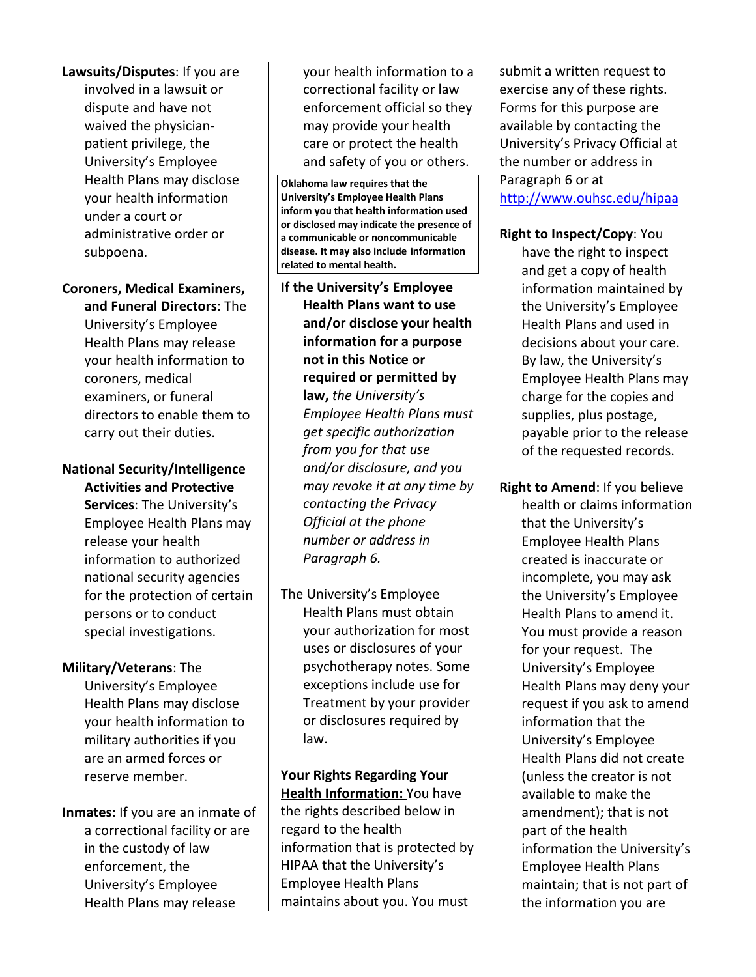administrative order or **Lawsuits/Disputes**: If you are involved in a lawsuit or dispute and have not waived the physicianpatient privilege, the University's Employee Health Plans may disclose your health information under a court or subpoena.

**Coroners, Medical Examiners, and Funeral Directors**: The University's Employee Health Plans may release your health information to coroners, medical examiners, or funeral directors to enable them to carry out their duties.

 release your health persons or to conduct **National Security/Intelligence Activities and Protective Services**: The University's Employee Health Plans may information to authorized national security agencies for the protection of certain special investigations.

#### **Military/Veterans**: The

 are an armed forces or reserve member. University's Employee Health Plans may disclose your health information to military authorities if you

 **Inmates**: If you are an inmate of enforcement, the a correctional facility or are in the custody of law University's Employee Health Plans may release

 enforcement official so they care or protect the health your health information to a correctional facility or law may provide your health and safety of you or others.

**Oklahoma law requires that the University's Employee Health Plans inform you that health information used or disclosed may indicate the presence of a communicable or noncommunicable disease. It may also include information related to mental health.** 

- **Health Plans want to use information for a purpose**   *may revoke it at any time by Paragraph 6.* **If the University's Employee and/or disclose your health not in this Notice or required or permitted by law,** *the University's Employee Health Plans must get specific authorization from you for that use and/or disclosure, and you contacting the Privacy Official at the phone number or address in*
- The University's Employee Health Plans must obtain your authorization for most uses or disclosures of your psychotherapy notes. Some exceptions include use for Treatment by your provider or disclosures required by law.

 regard to the health HIPAA that the University's **Your Rights Regarding Your Health Information:** You have the rights described below in information that is protected by Employee Health Plans maintains about you. You must

submit a written request to exercise any of these rights. Forms for this purpose are available by contacting the University's Privacy Official at the number or address in Paragraph 6 or at <http://www.ouhsc.edu/hipaa>

### **Right to Inspect/Copy**: You

 have the right to inspect and get a copy of health Employee Health Plans may payable prior to the release of the requested records. information maintained by the University's Employee Health Plans and used in decisions about your care. By law, the University's charge for the copies and supplies, plus postage,

 Health Plans to amend it. for your request. The available to make the amendment); that is not **Right to Amend**: If you believe health or claims information that the University's Employee Health Plans created is inaccurate or incomplete, you may ask the University's Employee You must provide a reason University's Employee Health Plans may deny your request if you ask to amend information that the University's Employee Health Plans did not create (unless the creator is not part of the health information the University's Employee Health Plans maintain; that is not part of the information you are